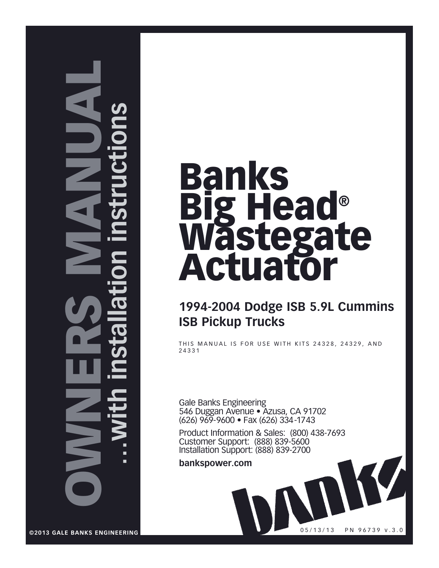# **NNO** NERS MAN UA $\overline{\phantom{a}}$ **…with installation instructions**

# Banks Big Head® Wastegate Actuator

# **1994-2004 Dodge ISB 5.9L Cummins ISB Pickup Trucks**

THIS MANUAL IS FOR USE WITH KITS 24328, 24329, AND 24331

Gale Banks Engineering 546 Duggan Avenue • Azusa, CA 91702 (626) 969-9600 • Fax (626) 334-1743

Product Information & Sales: (800) 438-7693 Customer Support: (888) 839-5600 Installation Support: (888) 839-2700

05/13/13 PN 96739 v.3.0

**bankspower.com**

**©2013 GALE BANKS ENGINEERING**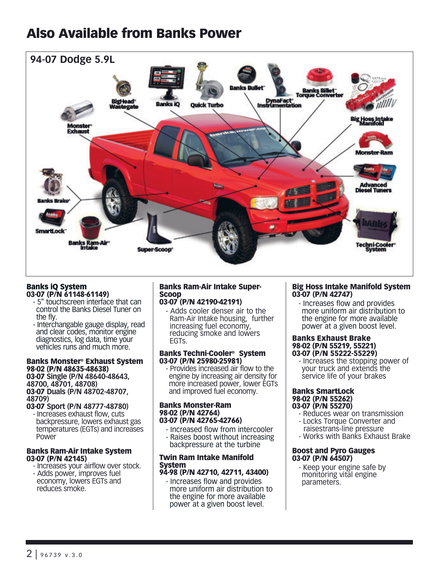# Also Available from Banks Power



#### Banks iQ System 03-07 (P/N 61148-61149)

- 5" touchscreen interface that can control the Banks Diesel Tuner on the fly.
- Interchangable gauge display, read and clear codes, monitor engine diagnostics, log data, time your vehicles runs and much more.

#### Banks Monster® Exhaust System 98-02 (P/N 48635-48638) 03-07 **Single (P/N 48640-48643, 48700, 48701, 48708)**

03-07 **Duals (P/N 48702-48707, 48709)**

03-07 **Sport (P/N 48777-48780)**  - Increases exhaust flow, cuts backpressure, lowers exhaust gas temperatures (EGTs) and increases Power

#### Banks Ram-Air Intake System 03-07 (P/N 42145)

- Increases your airflow over stock. - Adds power, improves fuel
- economy, lowers EGTs and reduces smoke.

#### Banks Ram-Air Intake Super-Scoop

- 03-07 (P/N 42190-42191) - Adds cooler denser air to the
	- Ram-Air Intake housing, further increasing fuel economy, reducing smoke and lowers EGTs.

#### Banks Techni-Cooler® System 03-07 (P/N 25980-25981)

- Provides increased air flow to the engine by increasing air density for more increased power, lower EGTs and improved fuel economy.

#### Banks Monster-Ram 98-02 (P/N 42764) 03-07 (P/N 42765-42766)

- Increased flow from intercooler
- Raises boost without increasing backpressure at the turbine

#### Twin Ram Intake Manifold System 94-98 (P/N 42710, 42711, 43400)

- Increases flow and provides more uniform air distribution to the engine for more available power at a given boost level.

#### Big Hoss Intake Manifold System 03-07 (P/N 42747)

- Increases flow and provides more uniform air distribution to the engine for more available power at a given boost level.

#### Banks Exhaust Brake 98-02 (P/N 55219, 55221) 03-07 (P/N 55222-55229)

- Increases the stopping power of your truck and extends the service life of your brakes

#### Banks SmartLock 98-02 (P/N 55262) 03-07 (P/N 55270)

- Reduces wear on transmission
- Locks Torque Converter and
- raisestrans-line pressure
- Works with Banks Exhaust Brake

#### Boost and Pyro Gauges 03-07 (P/N 64507)

- Keep your engine safe by monitoring vital engine parameters.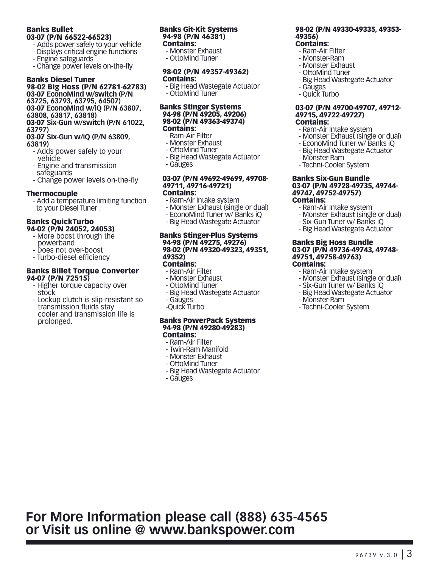#### Banks Bullet 03-07 (P/N 66522-66523)

- Adds power safely to your vehicle
- Displays critical engine functions
- Engine safeguards
- Change power levels on-the-fly

## Banks Diesel Tuner

#### 98-02 Big Hoss (P/N 62781-62783) 03-07 **EconoMind w/switch (P/N 63725, 63793, 63795, 64507)**

03-07 **EconoMind w/iQ (P/N 63807, 63808, 63817, 63818)**

03-07 **Six-Gun w/switch (P/N 61022, 63797)**

#### 03-07 **Six-Gun w/iQ (P/N 63809, 63819)**

- Adds power safely to your vehicle
- Engine and transmission safeguards
- Change power levels on-the-fly

#### Thermocouple

- Add a temperature limiting function to your Diesel Tuner .

#### Banks QuickTurbo 94-02 (P/N 24052, 24053)

- More boost through the powerband
- Does not over-boost
- Turbo-diesel efficiency

#### Banks Billet Torque Converter 94-07 (P/N 72515)

- Higher torque capacity over stock
- Lockup clutch is slip-resistant so transmission fluids stay cooler and transmission life is prolonged.

#### Banks Git-Kit Systems 94-98 (P/N 46381) Contains:

- Monster Exhaust - OttoMind Tuner

#### 98-02 (P/N 49357-49362) Contains:

- Big Head Wastegate Actuator - OttoMind Tuner

#### Banks Stinger Systems 94-98 (P/N 49205, 49206) 98-02 (P/N 49363-49374) Contains:

- Ram-Air Filter
- Monster Exhaust
- OttoMind Tuner
- Big Head Wastegate Actuator - Gauges

#### 03-07 (P/N 49692-49699, 49708- 49711, 49716-49721)

#### Contains:

- Ram-Air Intake system
- Monster Exhaust (single or dual)
- EconoMind Tuner w/ Banks iQ - Big Head Wastegate Actuator
- 

#### Banks Stinger-Plus Systems 94-98 (P/N 49275, 49276) 98-02 (P/N 49320-49323, 49351, 49352)

#### Contains:

- Ram-Air Filter
- Monster Exhaust
- OttoMind Tuner
- Big Head Wastegate Actuator
- Gauges
- -Quick Turbo

#### Banks PowerPack Systems 94-98 (P/N 49280-49283) Contains:

- Ram-Air Filter - Twin-Ram Manifold
- Monster Exhaust
- OttoMind Tuner
- Big Head Wastegate Actuator
- Gauges

#### 98-02 (P/N 49330-49335, 49353- 49356)

## Contains:

- Ram-Air Filter
- Monster-Ram
- Monster Exhaust
- OttoMind Tuner
- Big Head Wastegate Actuator
- Gauges
- Quick Turbo

#### 03-07 (P/N 49700-49707, 49712- 49715, 49722-49727) Contains:

- Ram-Air Intake system
- Monster Exhaust (single or dual)
- EconoMind Tuner w/ Banks iQ
- Big Head Wastegate Actuator
- Monster-Ram
- Techni-Cooler System

#### Banks Six-Gun Bundle 03-07 (P/N 49728-49735, 49744- 49747, 49752-49757) Contains:

- Ram-Air Intake system
- Monster Exhaust (single or dual)
- Six-Gun Tuner w/ Banks iQ
- Big Head Wastegate Actuator

#### Banks Big Hoss Bundle 03-07 (P/N 49736-49743, 49748- 49751, 49758-49763) Contains:

- 
- Ram-Air Intake system
- Monster Exhaust (single or dual)
- Six-Gun Tuner w/ Banks iQ
- Big Head Wastegate Actuator
- Monster-Ram
- Techni-Cooler System

# **For More Information please call (888) 635-4565 or Visit us online @ www.bankspower.com**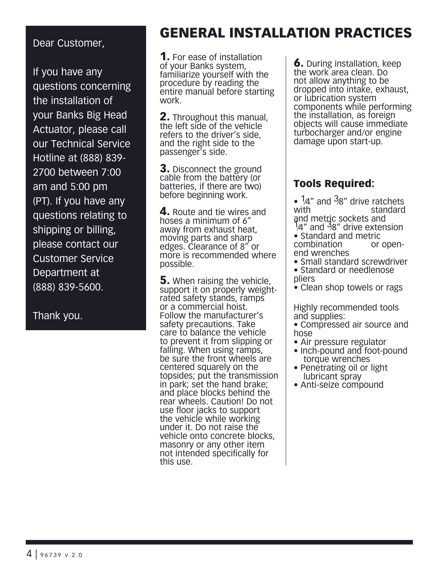# Dear Customer,

If you have any questions concerning the installation of your Banks Big Head Actuator, please call our Technical Service Hotline at (888) 839- 2700 between 7:00 am and 5:00 pm (PT). If you have any questions relating to shipping or billing, please contact our Customer Service Department at (888) 839-5600.

Thank you.

# GENERAL INSTALLATION PRACTICES

**1.** For ease of installation of your Banks system, familiarize yourself with the procedure by reading the entire manual before starting work.

2. Throughout this manual, the left side of the vehicle refers to the driver's side, and the right side to the passenger's side.

**3.** Disconnect the ground cable from the battery (or batteries, if there are two) before beginning work.

4. Route and tie wires and hoses a minimum of 6" away from exhaust heat, moving parts and sharp edges. Clearance of 8" or more is recommended where possible.

**5.** When raising the vehicle, support it on properly weightrated safety stands, ramps or a commercial hoist. Follow the manufacturer's safety precautions. Take care to balance the vehicle to prevent it from slipping or falling. When using ramps, be sure the front wheels are centered squarely on the topsides; put the transmission in park; set the hand brake; and place blocks behind the rear wheels. Caution! Do not use floor jacks to support the vehicle while working under it. Do not raise the vehicle onto concrete blocks, masonry or any other item not intended specifically for this use.

**6.** During installation, keep the work area clean. Do not allow anything to be dropped into intake, exhaust, or lubrication system components while performing the installation, as foreign objects will cause immediate turbocharger and/or engine damage upon start-up.

# Tools Required:

- 1⁄4" and 3⁄8" drive ratchets standard
- and metric sockets and<br> $\frac{1}{4}$  and  $\frac{3}{8}$ " drive extension
- Standard and metric combination end wrenches
- Small standard screwdriver • Standard or needlenose pliers
- Clean shop towels or rags

Highly recommended tools and supplies:

- Compressed air source and hose
- Air pressure regulator
- Inch-pound and foot-pound torque wrenches
- Penetrating oil or light lubricant spray
- Anti-seize compound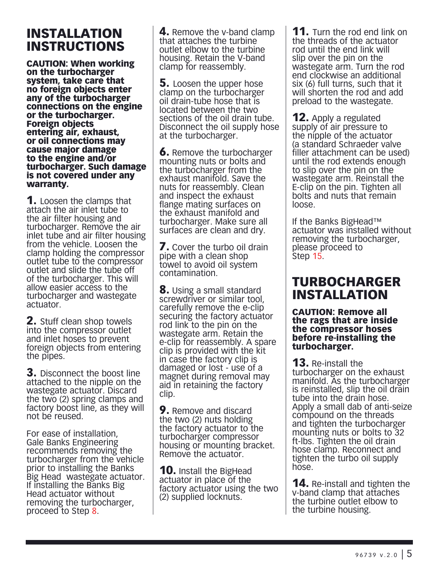# INSTALLATION INSTRUCTIONS

CAUTION: When working on the turbocharger system, take care that no foreign objects enter any of the turbocharger connections on the engine or the turbocharger. Foreign objects entering air, exhaust, or oil connections may cause major damage to the engine and/or turbocharger. Such damage is not covered under any warranty.

**1.** Loosen the clamps that attach the air inlet tube to the air filter housing and turbocharger. Remove the air inlet tube and air filter housing from the vehicle. Loosen the clamp holding the compressor outlet tube to the compressor outlet and slide the tube off of the turbocharger. This will allow easier access to the turbocharger and wastegate actuator.

**2.** Stuff clean shop towels into the compressor outlet and inlet hoses to prevent foreign objects from entering the pipes.

3. Disconnect the boost line attached to the nipple on the wastegate actuator. Discard the two (2) spring clamps and factory boost line, as they will not be reused.

For ease of installation, Gale Banks Engineering recommends removing the turbocharger from the vehicle prior to installing the Banks Big Head wastegate actuator. If installing the Banks Big Head actuator without removing the turbocharger, proceed to Step 8.

**4.** Remove the v-band clamp that attaches the turbine outlet elbow to the turbine housing. Retain the V-band clamp for reassembly.

**5.** Loosen the upper hose clamp on the turbocharger oil drain-tube hose that is located between the two sections of the oil drain tube. Disconnect the oil supply hose at the turbocharger.

**6.** Remove the turbocharger mounting nuts or bolts and the turbocharger from the exhaust manifold. Save the nuts for reassembly. Clean and inspect the exhaust flange mating surfaces on the exhaust manifold and turbocharger. Make sure all surfaces are clean and dry.

**7.** Cover the turbo oil drain pipe with a clean shop towel to avoid oil system contamination.

**8.** Using a small standard screwdriver or similar tool, carefully remove the e-clip securing the factory actuator rod link to the pin on the wastegate arm. Retain the e-clip for reassembly. A spare clip is provided with the kit in case the factory clip is damaged or lost - use of a magnet during removal may aid in retaining the factory clip.

**9.** Remove and discard the two (2) nuts holding the factory actuator to the turbocharger compressor housing or mounting bracket. Remove the actuator.

**10.** Install the BigHead actuator in place of the factory actuator using the two (2) supplied locknuts.

**11.** Turn the rod end link on the threads of the actuator rod until the end link will slip over the pin on the wastegate arm. Turn the rod end clockwise an additional six (6) full turns, such that it will shorten the rod and add preload to the wastegate.

**12.** Apply a regulated supply of air pressure to the nipple of the actuator (a standard Schraeder valve filler attachment can be used) until the rod extends enough to slip over the pin on the wastegate arm. Reinstall the E-clip on the pin. Tighten all bolts and nuts that remain loose.

If the Banks BigHead™ actuator was installed without removing the turbocharger, please proceed to Step 15.

# TURBOCHARGER INSTALLATION

CAUTION: Remove all the rags that are inside the compressor hoses before re-installing the turbocharger.

**13.** Re-install the turbocharger on the exhaust manifold. As the turbocharger is reinstalled, slip the oil drain tube into the drain hose. Apply a small dab of anti-seize compound on the threads and tighten the turbocharger mounting nuts or bolts to 32 ft-lbs. Tighten the oil drain hose clamp. Reconnect and tighten the turbo oil supply hose.

**14.** Re-install and tighten the v-band clamp that attaches the turbine outlet elbow to the turbine housing.